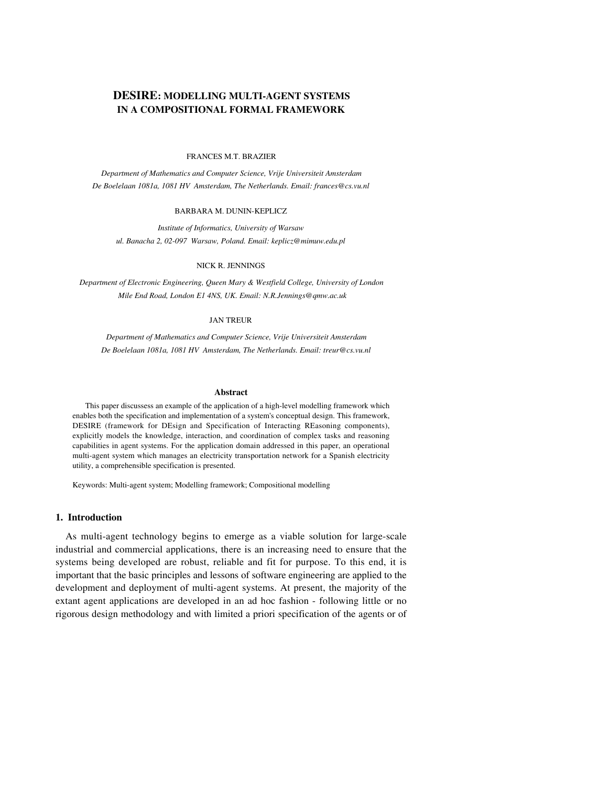# **DESIRE: MODELLING MULTI-AGENT SYSTEMS IN A COMPOSITIONAL FORMAL FRAMEWORK**

#### FRANCES M.T. BRAZIER

*Department of Mathematics and Computer Science, Vrije Universiteit Amsterdam De Boelelaan 1081a, 1081 HV Amsterdam, The Netherlands. Email: frances@cs.vu.nl*

#### BARBARA M. DUNIN-KEPLICZ

*Institute of Informatics, University of Warsaw ul. Banacha 2, 02-097 Warsaw, Poland. Email: keplicz@mimuw.edu.pl*

#### NICK R. JENNINGS

*Department of Electronic Engineering, Queen Mary & Westfield College, University of London Mile End Road, London E1 4NS, UK. Email: N.R.Jennings@qmw.ac.uk*

#### JAN TREUR

*Department of Mathematics and Computer Science, Vrije Universiteit Amsterdam De Boelelaan 1081a, 1081 HV Amsterdam, The Netherlands. Email: treur@cs.vu.nl*

#### **Abstract**

This paper discussess an example of the application of a high-level modelling framework which enables both the specification and implementation of a system's conceptual design. This framework, DESIRE (framework for DEsign and Specification of Interacting REasoning components), explicitly models the knowledge, interaction, and coordination of complex tasks and reasoning capabilities in agent systems. For the application domain addressed in this paper, an operational multi-agent system which manages an electricity transportation network for a Spanish electricity utility, a comprehensible specification is presented.

Keywords: Multi-agent system; Modelling framework; Compositional modelling

## **1. Introduction**

As multi-agent technology begins to emerge as a viable solution for large-scale industrial and commercial applications, there is an increasing need to ensure that the systems being developed are robust, reliable and fit for purpose. To this end, it is important that the basic principles and lessons of software engineering are applied to the development and deployment of multi-agent systems. At present, the majority of the extant agent applications are developed in an ad hoc fashion - following little or no rigorous design methodology and with limited a priori specification of the agents or of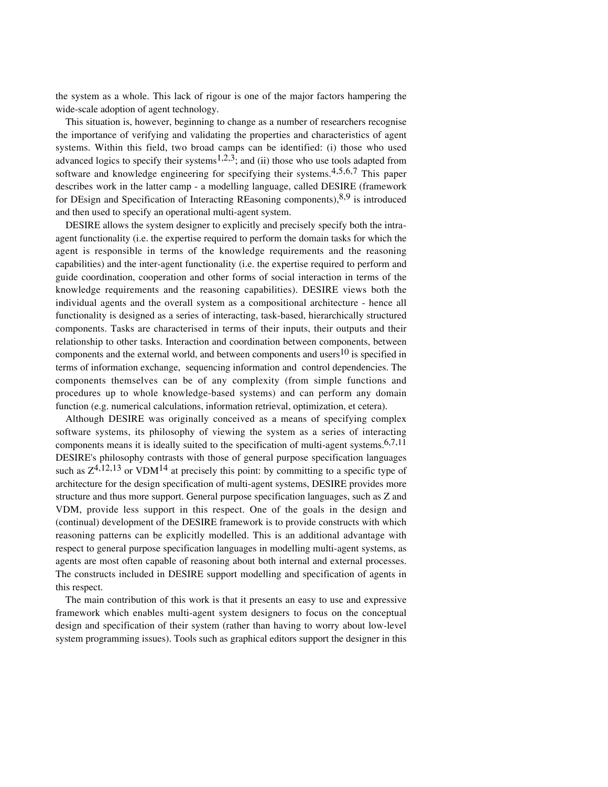the system as a whole. This lack of rigour is one of the major factors hampering the wide-scale adoption of agent technology.

This situation is, however, beginning to change as a number of researchers recognise the importance of verifying and validating the properties and characteristics of agent systems. Within this field, two broad camps can be identified: (i) those who used advanced logics to specify their systems<sup>1,2,3</sup>; and (ii) those who use tools adapted from software and knowledge engineering for specifying their systems.4,5,6,7 This paper describes work in the latter camp - a modelling language, called DESIRE (framework for DEsign and Specification of Interacting REasoning components), $8.9$  is introduced and then used to specify an operational multi-agent system.

DESIRE allows the system designer to explicitly and precisely specify both the intraagent functionality (i.e. the expertise required to perform the domain tasks for which the agent is responsible in terms of the knowledge requirements and the reasoning capabilities) and the inter-agent functionality (i.e. the expertise required to perform and guide coordination, cooperation and other forms of social interaction in terms of the knowledge requirements and the reasoning capabilities). DESIRE views both the individual agents and the overall system as a compositional architecture - hence all functionality is designed as a series of interacting, task-based, hierarchically structured components. Tasks are characterised in terms of their inputs, their outputs and their relationship to other tasks. Interaction and coordination between components, between components and the external world, and between components and users $10$  is specified in terms of information exchange, sequencing information and control dependencies. The components themselves can be of any complexity (from simple functions and procedures up to whole knowledge-based systems) and can perform any domain function (e.g. numerical calculations, information retrieval, optimization, et cetera).

Although DESIRE was originally conceived as a means of specifying complex software systems, its philosophy of viewing the system as a series of interacting components means it is ideally suited to the specification of multi-agent systems.<sup>6,7,11</sup> DESIRE's philosophy contrasts with those of general purpose specification languages such as  $Z^{4,12,13}$  or VDM<sup>14</sup> at precisely this point: by committing to a specific type of architecture for the design specification of multi-agent systems, DESIRE provides more structure and thus more support. General purpose specification languages, such as Z and VDM, provide less support in this respect. One of the goals in the design and (continual) development of the DESIRE framework is to provide constructs with which reasoning patterns can be explicitly modelled. This is an additional advantage with respect to general purpose specification languages in modelling multi-agent systems, as agents are most often capable of reasoning about both internal and external processes. The constructs included in DESIRE support modelling and specification of agents in this respect.

The main contribution of this work is that it presents an easy to use and expressive framework which enables multi-agent system designers to focus on the conceptual design and specification of their system (rather than having to worry about low-level system programming issues). Tools such as graphical editors support the designer in this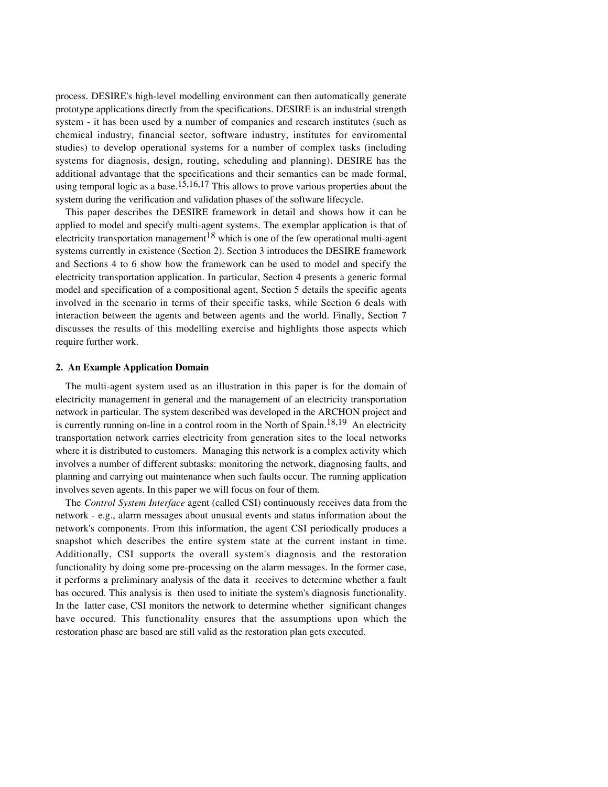process. DESIRE's high-level modelling environment can then automatically generate prototype applications directly from the specifications. DESIRE is an industrial strength system - it has been used by a number of companies and research institutes (such as chemical industry, financial sector, software industry, institutes for enviromental studies) to develop operational systems for a number of complex tasks (including systems for diagnosis, design, routing, scheduling and planning). DESIRE has the additional advantage that the specifications and their semantics can be made formal, using temporal logic as a base.<sup>15,16,17</sup> This allows to prove various properties about the system during the verification and validation phases of the software lifecycle.

This paper describes the DESIRE framework in detail and shows how it can be applied to model and specify multi-agent systems. The exemplar application is that of electricity transportation management<sup>18</sup> which is one of the few operational multi-agent systems currently in existence (Section 2). Section 3 introduces the DESIRE framework and Sections 4 to 6 show how the framework can be used to model and specify the electricity transportation application. In particular, Section 4 presents a generic formal model and specification of a compositional agent, Section 5 details the specific agents involved in the scenario in terms of their specific tasks, while Section 6 deals with interaction between the agents and between agents and the world. Finally, Section 7 discusses the results of this modelling exercise and highlights those aspects which require further work.

# **2. An Example Application Domain**

The multi-agent system used as an illustration in this paper is for the domain of electricity management in general and the management of an electricity transportation network in particular. The system described was developed in the ARCHON project and is currently running on-line in a control room in the North of Spain.<sup>18,19</sup> An electricity transportation network carries electricity from generation sites to the local networks where it is distributed to customers. Managing this network is a complex activity which involves a number of different subtasks: monitoring the network, diagnosing faults, and planning and carrying out maintenance when such faults occur. The running application involves seven agents. In this paper we will focus on four of them.

The *Control System Interface* agent (called CSI) continuously receives data from the network - e.g., alarm messages about unusual events and status information about the network's components. From this information, the agent CSI periodically produces a snapshot which describes the entire system state at the current instant in time. Additionally, CSI supports the overall system's diagnosis and the restoration functionality by doing some pre-processing on the alarm messages. In the former case, it performs a preliminary analysis of the data it receives to determine whether a fault has occured. This analysis is then used to initiate the system's diagnosis functionality. In the latter case, CSI monitors the network to determine whether significant changes have occured. This functionality ensures that the assumptions upon which the restoration phase are based are still valid as the restoration plan gets executed.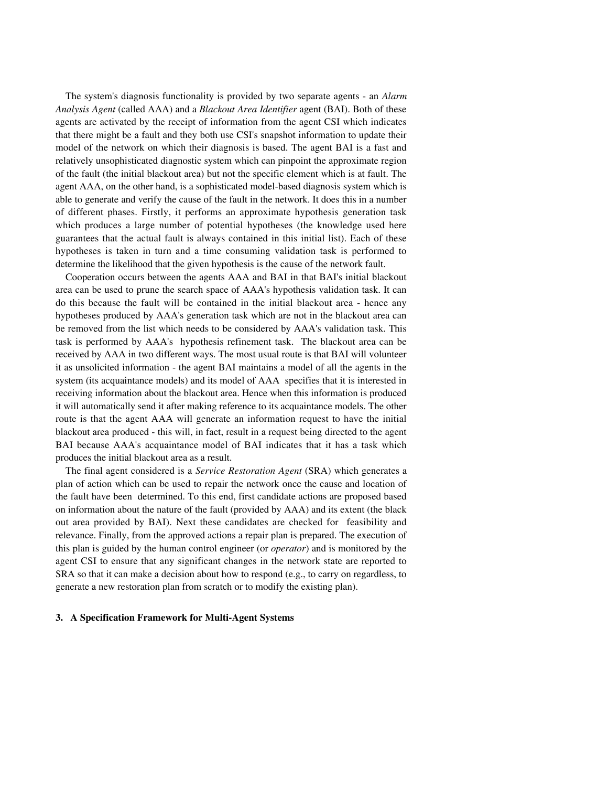The system's diagnosis functionality is provided by two separate agents - an *Alarm Analysis Agent* (called AAA) and a *Blackout Area Identifier* agent (BAI). Both of these agents are activated by the receipt of information from the agent CSI which indicates that there might be a fault and they both use CSI's snapshot information to update their model of the network on which their diagnosis is based. The agent BAI is a fast and relatively unsophisticated diagnostic system which can pinpoint the approximate region of the fault (the initial blackout area) but not the specific element which is at fault. The agent AAA, on the other hand, is a sophisticated model-based diagnosis system which is able to generate and verify the cause of the fault in the network. It does this in a number of different phases. Firstly, it performs an approximate hypothesis generation task which produces a large number of potential hypotheses (the knowledge used here guarantees that the actual fault is always contained in this initial list). Each of these hypotheses is taken in turn and a time consuming validation task is performed to determine the likelihood that the given hypothesis is the cause of the network fault.

Cooperation occurs between the agents AAA and BAI in that BAI's initial blackout area can be used to prune the search space of AAA's hypothesis validation task. It can do this because the fault will be contained in the initial blackout area - hence any hypotheses produced by AAA's generation task which are not in the blackout area can be removed from the list which needs to be considered by AAA's validation task. This task is performed by AAA's hypothesis refinement task. The blackout area can be received by AAA in two different ways. The most usual route is that BAI will volunteer it as unsolicited information - the agent BAI maintains a model of all the agents in the system (its acquaintance models) and its model of AAA specifies that it is interested in receiving information about the blackout area. Hence when this information is produced it will automatically send it after making reference to its acquaintance models. The other route is that the agent AAA will generate an information request to have the initial blackout area produced - this will, in fact, result in a request being directed to the agent BAI because AAA's acquaintance model of BAI indicates that it has a task which produces the initial blackout area as a result.

The final agent considered is a *Service Restoration Agent* (SRA) which generates a plan of action which can be used to repair the network once the cause and location of the fault have been determined. To this end, first candidate actions are proposed based on information about the nature of the fault (provided by AAA) and its extent (the black out area provided by BAI). Next these candidates are checked for feasibility and relevance. Finally, from the approved actions a repair plan is prepared. The execution of this plan is guided by the human control engineer (or *operator*) and is monitored by the agent CSI to ensure that any significant changes in the network state are reported to SRA so that it can make a decision about how to respond (e.g., to carry on regardless, to generate a new restoration plan from scratch or to modify the existing plan).

## **3. A Specification Framework for Multi-Agent Systems**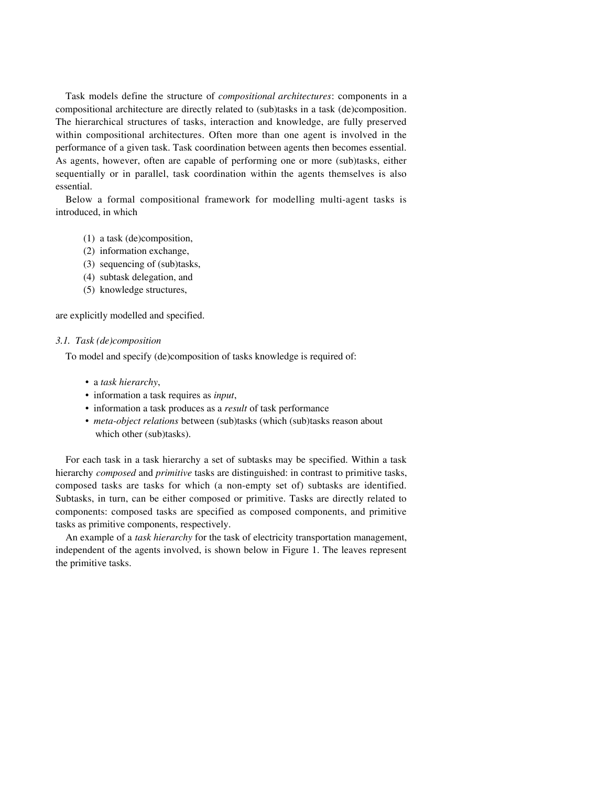Task models define the structure of *compositional architectures*: components in a compositional architecture are directly related to (sub)tasks in a task (de)composition. The hierarchical structures of tasks, interaction and knowledge, are fully preserved within compositional architectures. Often more than one agent is involved in the performance of a given task. Task coordination between agents then becomes essential. As agents, however, often are capable of performing one or more (sub)tasks, either sequentially or in parallel, task coordination within the agents themselves is also essential.

Below a formal compositional framework for modelling multi-agent tasks is introduced, in which

- (1) a task (de)composition,
- (2) information exchange,
- (3) sequencing of (sub)tasks,
- (4) subtask delegation, and
- (5) knowledge structures,

are explicitly modelled and specified.

## *3.1. Task (de)composition*

To model and specify (de)composition of tasks knowledge is required of:

- a *task hierarchy*,
- information a task requires as *input*,
- information a task produces as a *result* of task performance
- *meta-object relations* between (sub)tasks (which (sub)tasks reason about which other (sub)tasks).

For each task in a task hierarchy a set of subtasks may be specified. Within a task hierarchy *composed* and *primitive* tasks are distinguished: in contrast to primitive tasks, composed tasks are tasks for which (a non-empty set of) subtasks are identified. Subtasks, in turn, can be either composed or primitive. Tasks are directly related to components: composed tasks are specified as composed components, and primitive tasks as primitive components, respectively.

An example of a *task hierarchy* for the task of electricity transportation management, independent of the agents involved, is shown below in Figure 1. The leaves represent the primitive tasks.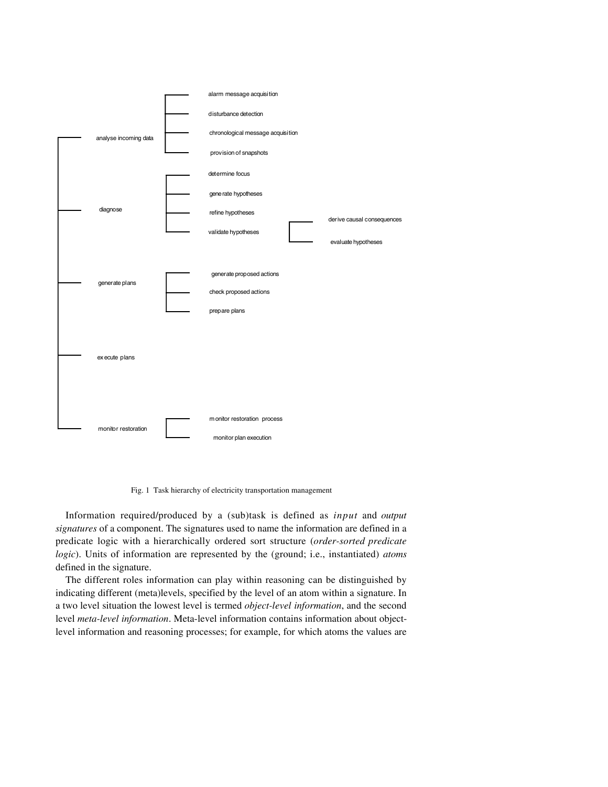

Fig. 1 Task hierarchy of electricity transportation management

Information required/produced by a (sub)task is defined as *input* and *output signatures* of a component. The signatures used to name the information are defined in a predicate logic with a hierarchically ordered sort structure (*order-sorted predicate logic*). Units of information are represented by the (ground; i.e., instantiated) *atoms* defined in the signature.

The different roles information can play within reasoning can be distinguished by indicating different (meta)levels, specified by the level of an atom within a signature. In a two level situation the lowest level is termed *object-level information*, and the second level *meta-level information*. Meta-level information contains information about objectlevel information and reasoning processes; for example, for which atoms the values are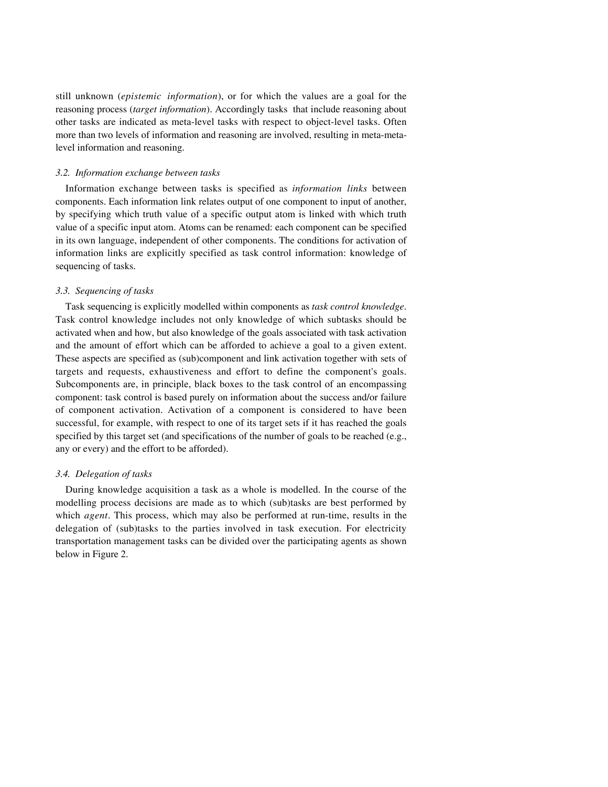still unknown (*epistemic information*), or for which the values are a goal for the reasoning process (*target information*). Accordingly tasks that include reasoning about other tasks are indicated as meta-level tasks with respect to object-level tasks. Often more than two levels of information and reasoning are involved, resulting in meta-metalevel information and reasoning.

## *3.2. Information exchange between tasks*

Information exchange between tasks is specified as *information links* between components. Each information link relates output of one component to input of another, by specifying which truth value of a specific output atom is linked with which truth value of a specific input atom. Atoms can be renamed: each component can be specified in its own language, independent of other components. The conditions for activation of information links are explicitly specified as task control information: knowledge of sequencing of tasks.

## *3.3. Sequencing of tasks*

Task sequencing is explicitly modelled within components as *task control knowledge*. Task control knowledge includes not only knowledge of which subtasks should be activated when and how, but also knowledge of the goals associated with task activation and the amount of effort which can be afforded to achieve a goal to a given extent. These aspects are specified as (sub)component and link activation together with sets of targets and requests, exhaustiveness and effort to define the component's goals. Subcomponents are, in principle, black boxes to the task control of an encompassing component: task control is based purely on information about the success and/or failure of component activation. Activation of a component is considered to have been successful, for example, with respect to one of its target sets if it has reached the goals specified by this target set (and specifications of the number of goals to be reached (e.g., any or every) and the effort to be afforded).

## *3.4. Delegation of tasks*

During knowledge acquisition a task as a whole is modelled. In the course of the modelling process decisions are made as to which (sub)tasks are best performed by which *agent*. This process, which may also be performed at run-time, results in the delegation of (sub)tasks to the parties involved in task execution. For electricity transportation management tasks can be divided over the participating agents as shown below in Figure 2.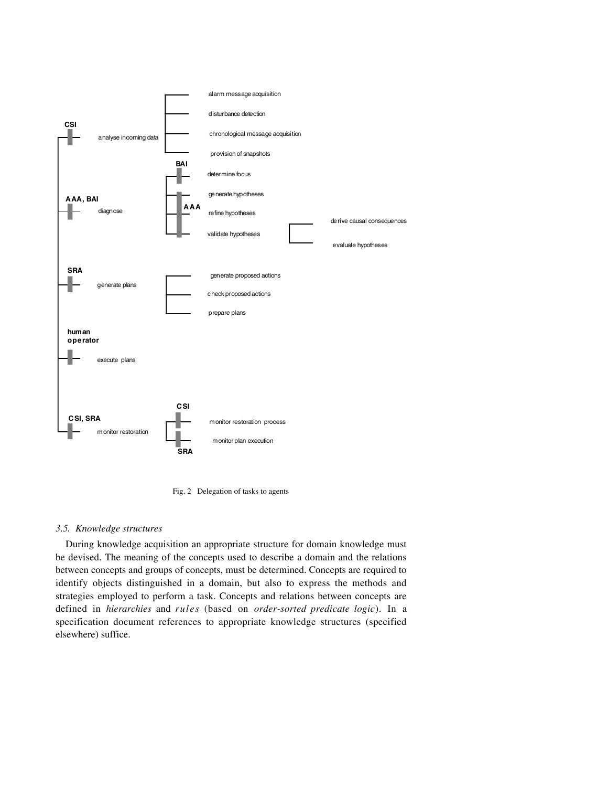

Fig. 2 Delegation of tasks to agents

## *3.5. Knowledge structures*

During knowledge acquisition an appropriate structure for domain knowledge must be devised. The meaning of the concepts used to describe a domain and the relations between concepts and groups of concepts, must be determined. Concepts are required to identify objects distinguished in a domain, but also to express the methods and strategies employed to perform a task. Concepts and relations between concepts are defined in *hierarchies* and *rules* (based on *order-sorted predicate logic*). In a specification document references to appropriate knowledge structures (specified elsewhere) suffice.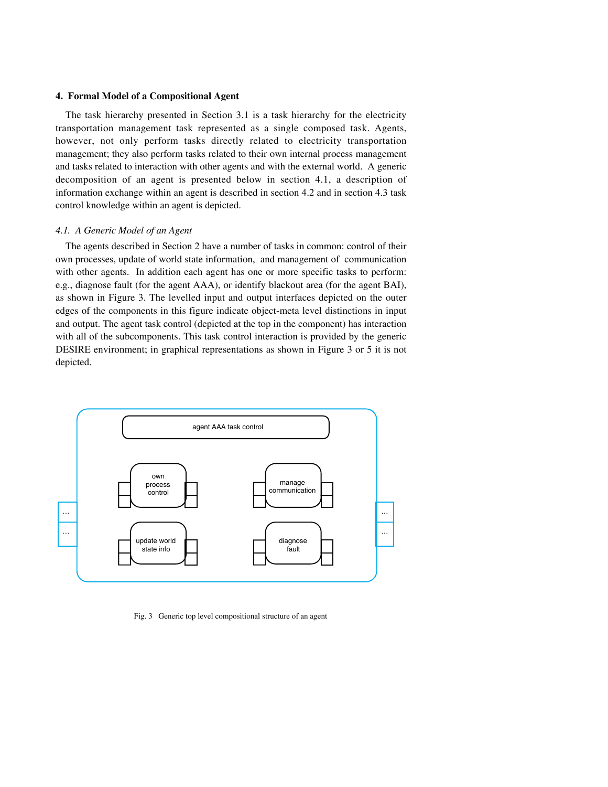## **4. Formal Model of a Compositional Agent**

The task hierarchy presented in Section 3.1 is a task hierarchy for the electricity transportation management task represented as a single composed task. Agents, however, not only perform tasks directly related to electricity transportation management; they also perform tasks related to their own internal process management and tasks related to interaction with other agents and with the external world. A generic decomposition of an agent is presented below in section 4.1, a description of information exchange within an agent is described in section 4.2 and in section 4.3 task control knowledge within an agent is depicted.

## *4.1. A Generic Model of an Agent*

The agents described in Section 2 have a number of tasks in common: control of their own processes, update of world state information, and management of communication with other agents. In addition each agent has one or more specific tasks to perform: e.g., diagnose fault (for the agent AAA), or identify blackout area (for the agent BAI), as shown in Figure 3. The levelled input and output interfaces depicted on the outer edges of the components in this figure indicate object-meta level distinctions in input and output. The agent task control (depicted at the top in the component) has interaction with all of the subcomponents. This task control interaction is provided by the generic DESIRE environment; in graphical representations as shown in Figure 3 or 5 it is not depicted.



Fig. 3 Generic top level compositional structure of an agent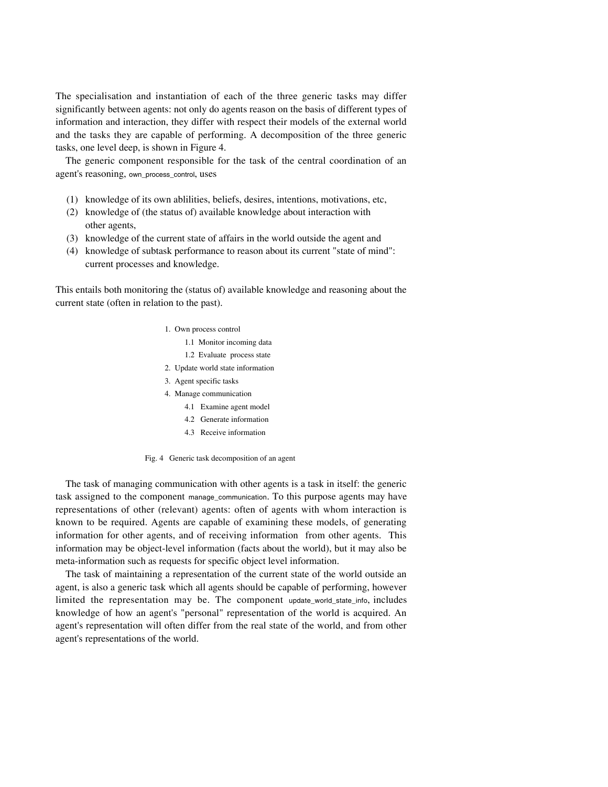The specialisation and instantiation of each of the three generic tasks may differ significantly between agents: not only do agents reason on the basis of different types of information and interaction, they differ with respect their models of the external world and the tasks they are capable of performing. A decomposition of the three generic tasks, one level deep, is shown in Figure 4.

The generic component responsible for the task of the central coordination of an agent's reasoning, own\_process\_control, uses

- (1) knowledge of its own ablilities, beliefs, desires, intentions, motivations, etc,
- (2) knowledge of (the status of) available knowledge about interaction with other agents,
- (3) knowledge of the current state of affairs in the world outside the agent and
- (4) knowledge of subtask performance to reason about its current "state of mind": current processes and knowledge.

This entails both monitoring the (status of) available knowledge and reasoning about the current state (often in relation to the past).

- 1. Own process control
	- 1.1 Monitor incoming data
	- 1.2 Evaluate process state
- 2. Update world state information
- 3. Agent specific tasks
- 4. Manage communication
	- 4.1 Examine agent model
	- 4.2 Generate information
	- 4.3 Receive information

Fig. 4 Generic task decomposition of an agent

The task of managing communication with other agents is a task in itself: the generic task assigned to the component manage\_communication. To this purpose agents may have representations of other (relevant) agents: often of agents with whom interaction is known to be required. Agents are capable of examining these models, of generating information for other agents, and of receiving information from other agents. This information may be object-level information (facts about the world), but it may also be meta-information such as requests for specific object level information.

The task of maintaining a representation of the current state of the world outside an agent, is also a generic task which all agents should be capable of performing, however limited the representation may be. The component update\_world\_state\_info, includes knowledge of how an agent's "personal" representation of the world is acquired. An agent's representation will often differ from the real state of the world, and from other agent's representations of the world.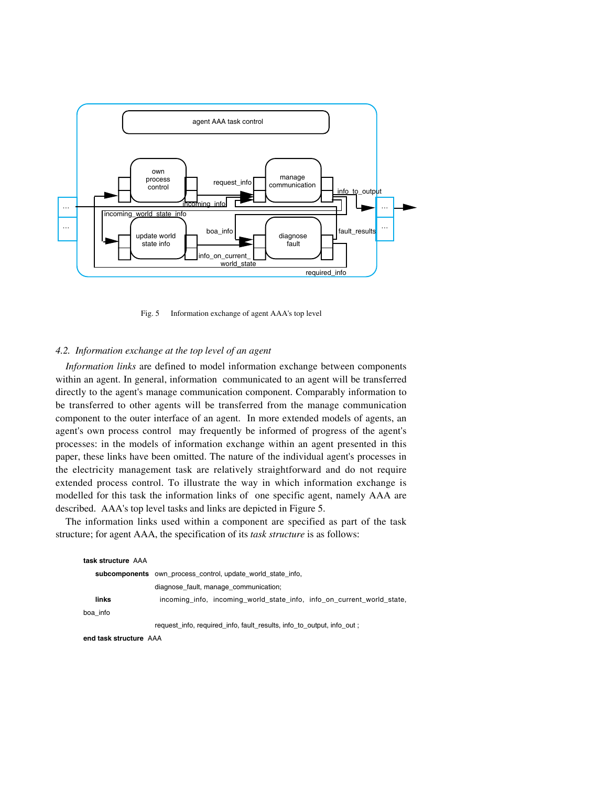

Fig. 5 Information exchange of agent AAA's top level

# *4.2. Information exchange at the top level of an agent*

*Information links* are defined to model information exchange between components within an agent. In general, information communicated to an agent will be transferred directly to the agent's manage communication component. Comparably information to be transferred to other agents will be transferred from the manage communication component to the outer interface of an agent. In more extended models of agents, an agent's own process control may frequently be informed of progress of the agent's processes: in the models of information exchange within an agent presented in this paper, these links have been omitted. The nature of the individual agent's processes in the electricity management task are relatively straightforward and do not require extended process control. To illustrate the way in which information exchange is modelled for this task the information links of one specific agent, namely AAA are described. AAA's top level tasks and links are depicted in Figure 5.

The information links used within a component are specified as part of the task structure; for agent AAA, the specification of its *task structure* is as follows:

| task structure AAA |                                                                        |  |
|--------------------|------------------------------------------------------------------------|--|
|                    | subcomponents own process control, update world state info.            |  |
|                    | diagnose fault, manage_communication;                                  |  |
| links              | incoming info, incoming world state info, info on current world state, |  |
| boa info           |                                                                        |  |
|                    | request info, required info, fault results, info to output, info out;  |  |
|                    |                                                                        |  |

**end task structure** AAA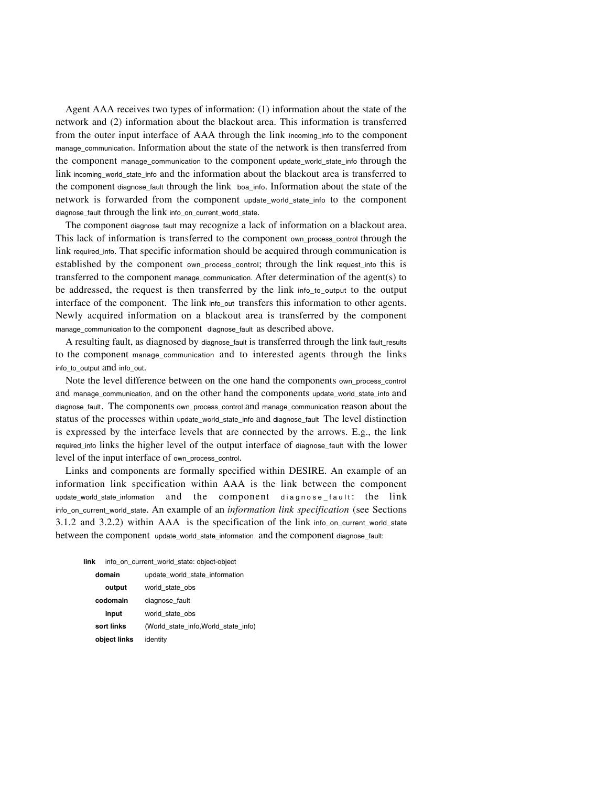Agent AAA receives two types of information: (1) information about the state of the network and (2) information about the blackout area. This information is transferred from the outer input interface of AAA through the link incoming\_info to the component manage\_communication. Information about the state of the network is then transferred from the component manage\_communication to the component update\_world\_state\_info through the link incoming\_world\_state\_info and the information about the blackout area is transferred to the component diagnose\_fault through the link boa\_info. Information about the state of the network is forwarded from the component update\_world\_state\_info to the component diagnose\_fault through the link info\_on\_current\_world\_state.

The component diagnose\_fault may recognize a lack of information on a blackout area. This lack of information is transferred to the component own\_process\_control through the link required\_info. That specific information should be acquired through communication is established by the component own\_process\_control; through the link request\_info this is transferred to the component manage\_communication. After determination of the agent(s) to be addressed, the request is then transferred by the link info\_to\_output to the output interface of the component. The link info<sub>-</sub>out transfers this information to other agents. Newly acquired information on a blackout area is transferred by the component manage\_communication to the component diagnose\_fault as described above.

A resulting fault, as diagnosed by diagnose\_fault is transferred through the link fault\_results to the component manage\_communication and to interested agents through the links info to output and info out.

Note the level difference between on the one hand the components own\_process\_control and manage\_communication, and on the other hand the components update\_world\_state\_info and diagnose fault. The components own process control and manage communication reason about the status of the processes within update\_world\_state\_info and diagnose\_fault The level distinction is expressed by the interface levels that are connected by the arrows. E.g., the link required\_info links the higher level of the output interface of diagnose\_fault with the lower level of the input interface of own\_process\_control.

Links and components are formally specified within DESIRE. An example of an information link specification within AAA is the link between the component update\_world\_state\_information and the component diagnose\_fault: the link info\_on\_current\_world\_state. An example of an *information link specification* (see Sections 3.1.2 and 3.2.2) within AAA is the specification of the link info\_on\_current\_world\_state between the component update\_world\_state\_information and the component diagnose\_fault:

| link   | info on current world state: object-object |                                      |
|--------|--------------------------------------------|--------------------------------------|
| domain |                                            | update world_state_information       |
|        | output                                     | world state obs                      |
|        | codomain                                   | diagnose fault                       |
|        | input                                      | world state obs                      |
|        | sort links                                 | (World state info, World state info) |
|        | object links                               | identity                             |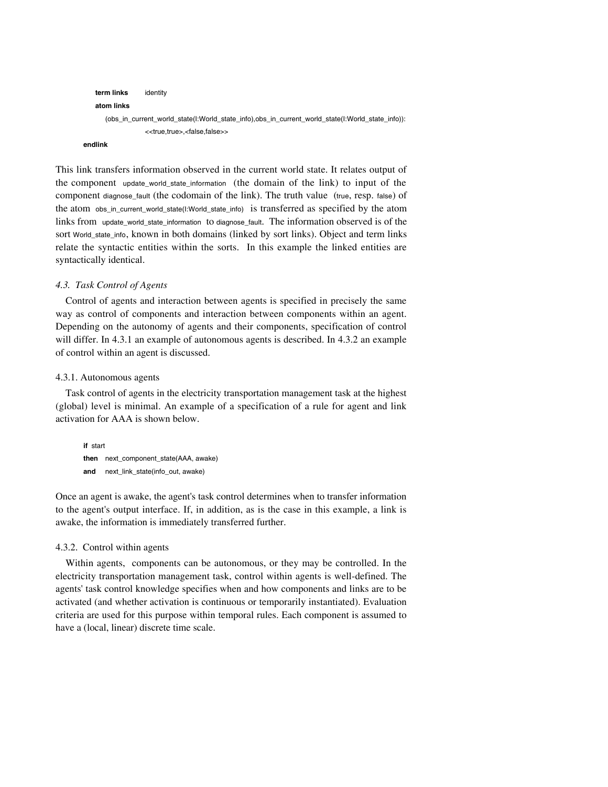```
term links identity
    atom links
       (obs_in_current_world_state(I:World_state_info),obs_in_current_world_state(I:World_state_info)):
                   <<true,true>,<false,false>>
endlink
```
This link transfers information observed in the current world state. It relates output of the component update world state information (the domain of the link) to input of the component diagnose\_fault (the codomain of the link). The truth value (true, resp. false) of the atom obs\_in\_current\_world\_state(I:World\_state\_info) is transferred as specified by the atom links from update\_world\_state\_information to diagnose\_fault. The information observed is of the sort World\_state\_info, known in both domains (linked by sort links). Object and term links relate the syntactic entities within the sorts. In this example the linked entities are syntactically identical.

## *4.3. Task Control of Agents*

Control of agents and interaction between agents is specified in precisely the same way as control of components and interaction between components within an agent. Depending on the autonomy of agents and their components, specification of control will differ. In 4.3.1 an example of autonomous agents is described. In 4.3.2 an example of control within an agent is discussed.

# 4.3.1. Autonomous agents

Task control of agents in the electricity transportation management task at the highest (global) level is minimal. An example of a specification of a rule for agent and link activation for AAA is shown below.

```
if start
then next_component_state(AAA, awake)
and next_link_state(info_out, awake)
```
Once an agent is awake, the agent's task control determines when to transfer information to the agent's output interface. If, in addition, as is the case in this example, a link is awake, the information is immediately transferred further.

## 4.3.2. Control within agents

Within agents, components can be autonomous, or they may be controlled. In the electricity transportation management task, control within agents is well-defined. The agents' task control knowledge specifies when and how components and links are to be activated (and whether activation is continuous or temporarily instantiated). Evaluation criteria are used for this purpose within temporal rules. Each component is assumed to have a (local, linear) discrete time scale.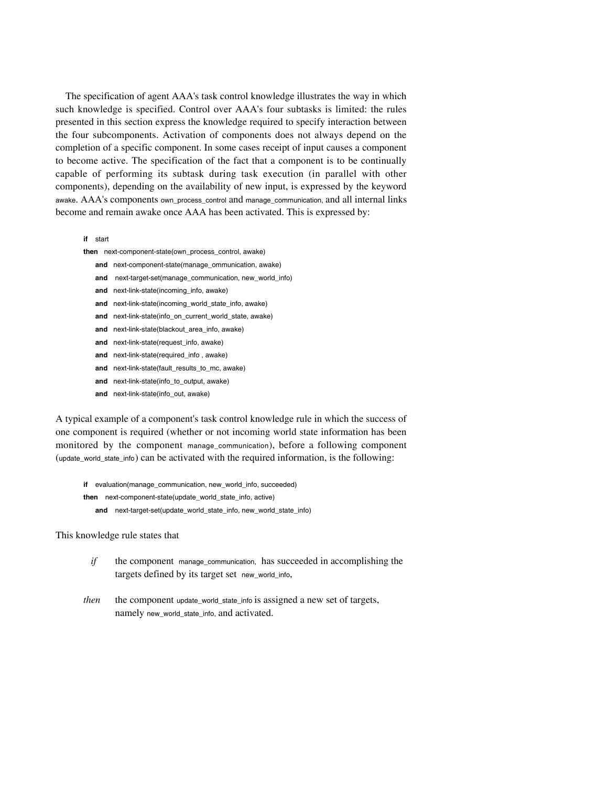The specification of agent AAA's task control knowledge illustrates the way in which such knowledge is specified. Control over AAA's four subtasks is limited: the rules presented in this section express the knowledge required to specify interaction between the four subcomponents. Activation of components does not always depend on the completion of a specific component. In some cases receipt of input causes a component to become active. The specification of the fact that a component is to be continually capable of performing its subtask during task execution (in parallel with other components), depending on the availability of new input, is expressed by the keyword awake. AAA's components own\_process\_control and manage\_communication, and all internal links become and remain awake once AAA has been activated. This is expressed by:

**if** start

- **then** next-component-state(own\_process\_control, awake)
	- **and** next-component-state(manage\_ommunication, awake)
	- **and** next-target-set(manage\_communication, new\_world\_info)
	- **and** next-link-state(incoming\_info, awake)
	- **and** next-link-state(incoming\_world\_state\_info, awake)
	- **and** next-link-state(info\_on\_current\_world\_state, awake)
	- **and** next-link-state(blackout\_area\_info, awake)
	- **and** next-link-state(request\_info, awake)
	- **and** next-link-state(required\_info , awake)
	- and next-link-state(fault results to mc, awake)
	- **and** next-link-state(info\_to\_output, awake)
	- **and** next-link-state(info\_out, awake)

A typical example of a component's task control knowledge rule in which the success of one component is required (whether or not incoming world state information has been monitored by the component manage communication), before a following component (update\_world\_state\_info) can be activated with the required information, is the following:

- **if** evaluation(manage\_communication, new\_world\_info, succeeded) **then** next-component-state(update\_world\_state\_info, active)
	- **and** next-target-set(update\_world\_state\_info, new\_world\_state\_info)

# This knowledge rule states that

- *if* the component manage communication, has succeeded in accomplishing the targets defined by its target set new\_world\_info,
- *then* the component update\_world\_state\_info is assigned a new set of targets, namely new\_world\_state\_info, and activated.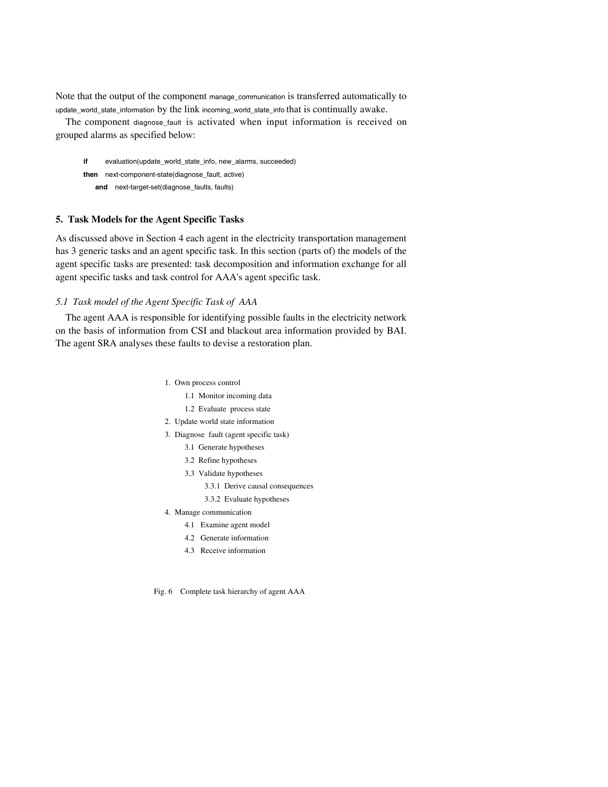Note that the output of the component manage\_communication is transferred automatically to update\_world\_state\_information by the link incoming\_world\_state\_info that is continually awake.

The component diagnose\_fault is activated when input information is received on grouped alarms as specified below:

**if** evaluation(update\_world\_state\_info, new\_alarms, succeeded) **then** next-component-state(diagnose\_fault, active) **and** next-target-set(diagnose\_faults, faults)

# **5. Task Models for the Agent Specific Tasks**

As discussed above in Section 4 each agent in the electricity transportation management has 3 generic tasks and an agent specific task. In this section (parts of) the models of the agent specific tasks are presented: task decomposition and information exchange for all agent specific tasks and task control for AAA's agent specific task.

## *5.1 Task model of the Agent Specific Task of AAA*

The agent AAA is responsible for identifying possible faults in the electricity network on the basis of information from CSI and blackout area information provided by BAI. The agent SRA analyses these faults to devise a restoration plan.

- 1. Own process control
	- 1.1 Monitor incoming data
	- 1.2 Evaluate process state
- 2. Update world state information
- 3. Diagnose fault (agent specific task)
	- 3.1 Generate hypotheses
	- 3.2 Refine hypotheses
	- 3.3 Validate hypotheses
		- 3.3.1 Derive causal consequences
		- 3.3.2 Evaluate hypotheses
- 4. Manage communication
	- 4.1 Examine agent model
	- 4.2 Generate information
	- 4.3 Receive information

Fig. 6 Complete task hierarchy of agent AAA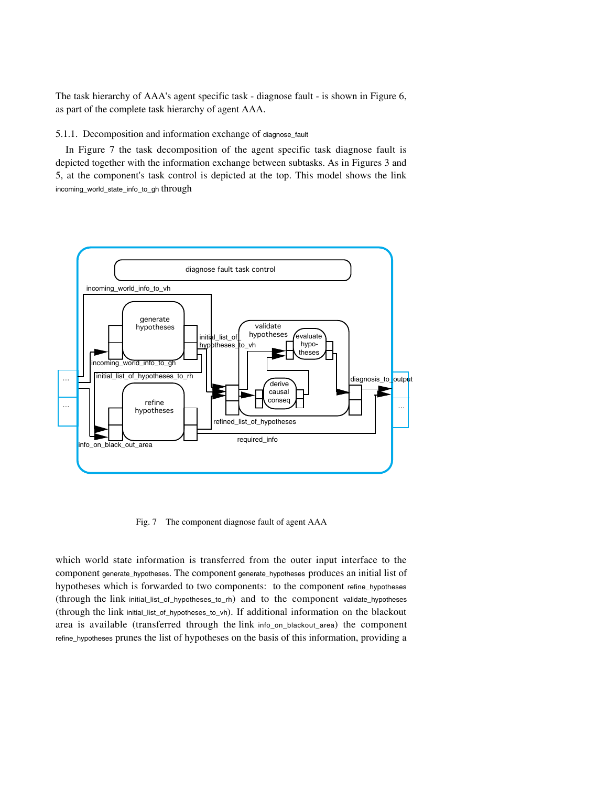The task hierarchy of AAA's agent specific task - diagnose fault - is shown in Figure 6, as part of the complete task hierarchy of agent AAA.

## 5.1.1. Decomposition and information exchange of diagnose\_fault

In Figure 7 the task decomposition of the agent specific task diagnose fault is depicted together with the information exchange between subtasks. As in Figures 3 and 5, at the component's task control is depicted at the top. This model shows the link incoming\_world\_state\_info\_to\_gh through



Fig. 7 The component diagnose fault of agent AAA

which world state information is transferred from the outer input interface to the component generate\_hypotheses. The component generate\_hypotheses produces an initial list of hypotheses which is forwarded to two components: to the component refine\_hypotheses (through the link initial\_list\_of\_hypotheses\_to\_rh) and to the component validate\_hypotheses (through the link initial\_list\_of\_hypotheses\_to\_vh). If additional information on the blackout area is available (transferred through the link info\_on\_blackout\_area) the component refine\_hypotheses prunes the list of hypotheses on the basis of this information, providing a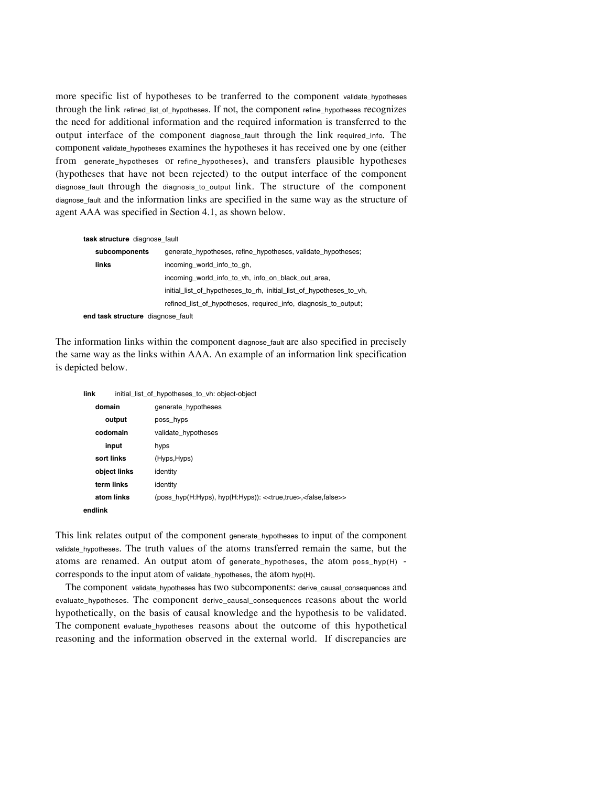more specific list of hypotheses to be tranferred to the component validate\_hypotheses through the link refined\_list\_of\_hypotheses. If not, the component refine\_hypotheses recognizes the need for additional information and the required information is transferred to the output interface of the component diagnose\_fault through the link required\_info. The component validate\_hypotheses examines the hypotheses it has received one by one (either from generate\_hypotheses or refine\_hypotheses), and transfers plausible hypotheses (hypotheses that have not been rejected) to the output interface of the component diagnose\_fault through the diagnosis\_to\_output link. The structure of the component diagnose\_fault and the information links are specified in the same way as the structure of agent AAA was specified in Section 4.1, as shown below.

# **task structure** diagnose\_fault

| subcomponents                     | generate hypotheses, refine hypotheses, validate hypotheses;        |
|-----------------------------------|---------------------------------------------------------------------|
| links                             | incoming world info to gh,                                          |
|                                   | incoming world info to vh, info on black out area,                  |
|                                   | initial list of hypotheses to rh, initial list of hypotheses to vh, |
|                                   | refined_list_of_hypotheses, required_info, diagnosis to output;     |
| end task structure diagnose fault |                                                                     |

The information links within the component diagnose\_fault are also specified in precisely the same way as the links within AAA. An example of an information link specification is depicted below.

### **link** initial\_list\_of\_hypotheses\_to\_vh: object-object

| domain       | generate hypotheses                                                                        |
|--------------|--------------------------------------------------------------------------------------------|
| output       | poss hyps                                                                                  |
| codomain     | validate hypotheses                                                                        |
| input        | hyps                                                                                       |
| sort links   | (Hyps, Hyps)                                                                               |
| object links | identity                                                                                   |
| term links   | identity                                                                                   |
| atom links   | (poss_hyp(H:Hyps), hyp(H:Hyps)): < <true,true>,<false,false>&gt;</false,false></true,true> |
| endlink      |                                                                                            |

This link relates output of the component generate\_hypotheses to input of the component validate\_hypotheses. The truth values of the atoms transferred remain the same, but the atoms are renamed. An output atom of generate hypotheses, the atom poss  $hyp(H)$  corresponds to the input atom of validate\_hypotheses, the atom hyp(H).

The component validate\_hypotheses has two subcomponents: derive\_causal\_consequences and evaluate\_hypotheses. The component derive\_causal\_consequences reasons about the world hypothetically, on the basis of causal knowledge and the hypothesis to be validated. The component evaluate\_hypotheses reasons about the outcome of this hypothetical reasoning and the information observed in the external world. If discrepancies are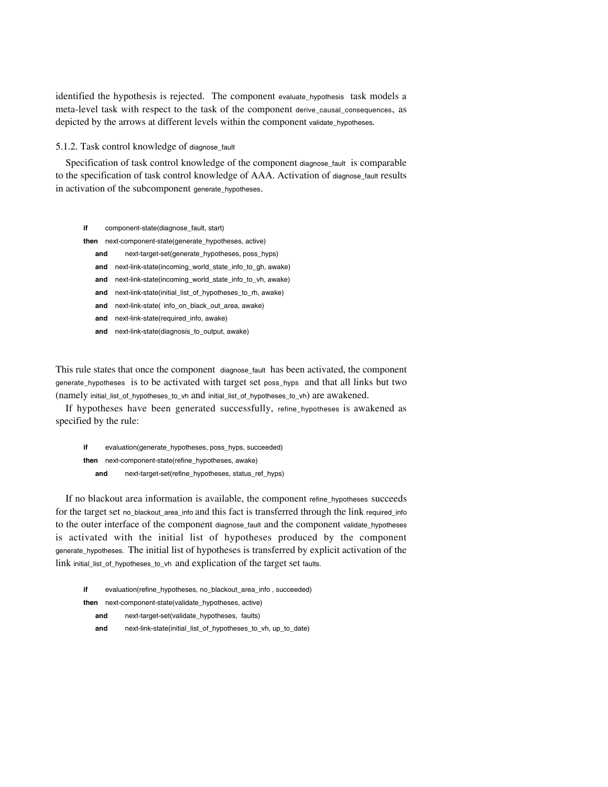identified the hypothesis is rejected. The component evaluate\_hypothesis task models a meta-level task with respect to the task of the component derive\_causal\_consequences, as depicted by the arrows at different levels within the component validate\_hypotheses.

## 5.1.2. Task control knowledge of diagnose\_fault

Specification of task control knowledge of the component diagnose\_fault is comparable to the specification of task control knowledge of AAA. Activation of diagnose\_fault results in activation of the subcomponent generate hypotheses.

- **if** component-state(diagnose\_fault, start)
- **then** next-component-state(generate\_hypotheses, active)
	- **and** next-target-set(generate\_hypotheses, poss\_hyps)
	- **and** next-link-state(incoming\_world\_state\_info\_to\_gh, awake)
	- **and** next-link-state(incoming\_world\_state\_info\_to\_vh, awake)
	- **and** next-link-state(initial\_list\_of\_hypotheses\_to\_rh, awake)
	- and next-link-state( info on black out area, awake)
	- **and** next-link-state(required\_info, awake)
	- **and** next-link-state(diagnosis\_to\_output, awake)

This rule states that once the component diagnose\_fault has been activated, the component generate\_hypotheses is to be activated with target set poss\_hyps and that all links but two (namely initial\_list\_of\_hypotheses\_to\_vh and initial\_list\_of\_hypotheses\_to\_vh) are awakened.

If hypotheses have been generated successfully, refine\_hypotheses is awakened as specified by the rule:

**if** evaluation(generate\_hypotheses, poss\_hyps, succeeded) **then** next-component-state(refine\_hypotheses, awake) **and** next-target-set(refine\_hypotheses, status\_ref\_hyps)

If no blackout area information is available, the component refine\_hypotheses succeeds for the target set no\_blackout\_area\_info and this fact is transferred through the link required\_info to the outer interface of the component diagnose\_fault and the component validate\_hypotheses is activated with the initial list of hypotheses produced by the component generate\_hypotheses. The initial list of hypotheses is transferred by explicit activation of the link initial\_list\_of\_hypotheses\_to\_vh and explication of the target set faults.

- **if** evaluation(refine\_hypotheses, no\_blackout\_area\_info , succeeded) **then** next-component-state(validate\_hypotheses, active)
	-
	- **and** next-target-set(validate\_hypotheses, faults)
	- **and** next-link-state(initial\_list\_of\_hypotheses\_to\_vh, up\_to\_date)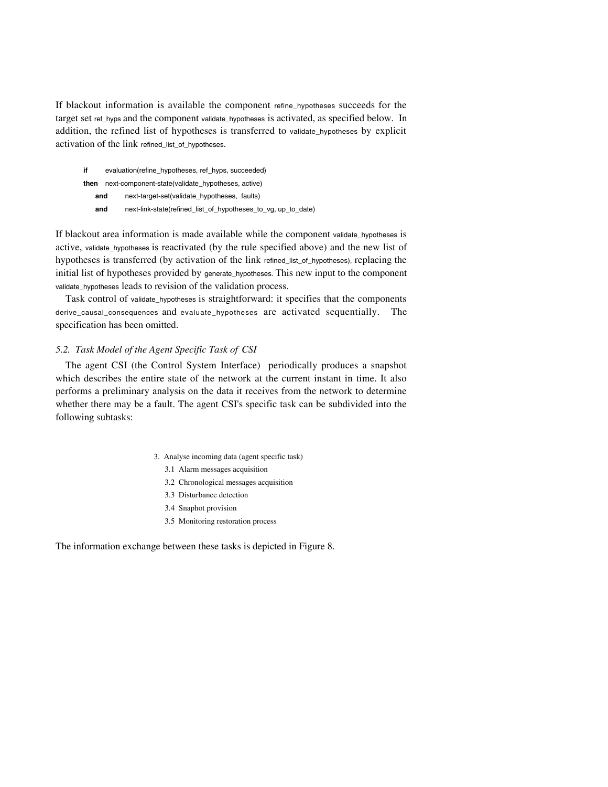If blackout information is available the component refine hypotheses succeeds for the target set ref\_hyps and the component validate\_hypotheses is activated, as specified below. In addition, the refined list of hypotheses is transferred to validate\_hypotheses by explicit activation of the link refined list of hypotheses.

| if   | evaluation(refine hypotheses, ref hyps, succeeded) |                                                               |  |
|------|----------------------------------------------------|---------------------------------------------------------------|--|
| then | next-component-state(validate hypotheses, active)  |                                                               |  |
| and  |                                                    | next-target-set(validate hypotheses, faults)                  |  |
| and  |                                                    | next-link-state(refined_list_of_hypotheses_to_vg, up_to_date) |  |

If blackout area information is made available while the component validate\_hypotheses is active, validate\_hypotheses is reactivated (by the rule specified above) and the new list of hypotheses is transferred (by activation of the link refined\_list\_of\_hypotheses), replacing the initial list of hypotheses provided by generate\_hypotheses. This new input to the component validate\_hypotheses leads to revision of the validation process.

Task control of validate\_hypotheses is straightforward: it specifies that the components derive\_causal\_consequences and evaluate\_hypotheses are activated sequentially. The specification has been omitted.

# *5.2. Task Model of the Agent Specific Task of CSI*

The agent CSI (the Control System Interface) periodically produces a snapshot which describes the entire state of the network at the current instant in time. It also performs a preliminary analysis on the data it receives from the network to determine whether there may be a fault. The agent CSI's specific task can be subdivided into the following subtasks:

- 3. Analyse incoming data (agent specific task)
	- 3.1 Alarm messages acquisition
	- 3.2 Chronological messages acquisition
	- 3.3 Disturbance detection
	- 3.4 Snaphot provision
	- 3.5 Monitoring restoration process

The information exchange between these tasks is depicted in Figure 8.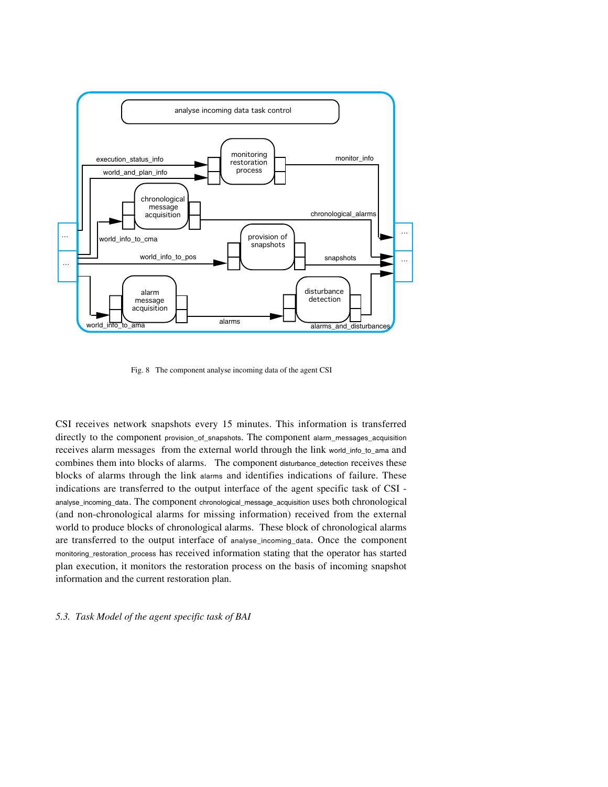

Fig. 8 The component analyse incoming data of the agent CSI

CSI receives network snapshots every 15 minutes. This information is transferred directly to the component provision\_of\_snapshots. The component alarm\_messages\_acquisition receives alarm messages from the external world through the link world\_info\_to\_ama and combines them into blocks of alarms. The component disturbance\_detection receives these blocks of alarms through the link alarms and identifies indications of failure. These indications are transferred to the output interface of the agent specific task of CSI analyse\_incoming\_data. The component chronological\_message\_acquisition uses both chronological (and non-chronological alarms for missing information) received from the external world to produce blocks of chronological alarms. These block of chronological alarms are transferred to the output interface of analyse\_incoming\_data. Once the component monitoring\_restoration\_process has received information stating that the operator has started plan execution, it monitors the restoration process on the basis of incoming snapshot information and the current restoration plan.

# *5.3. Task Model of the agent specific task of BAI*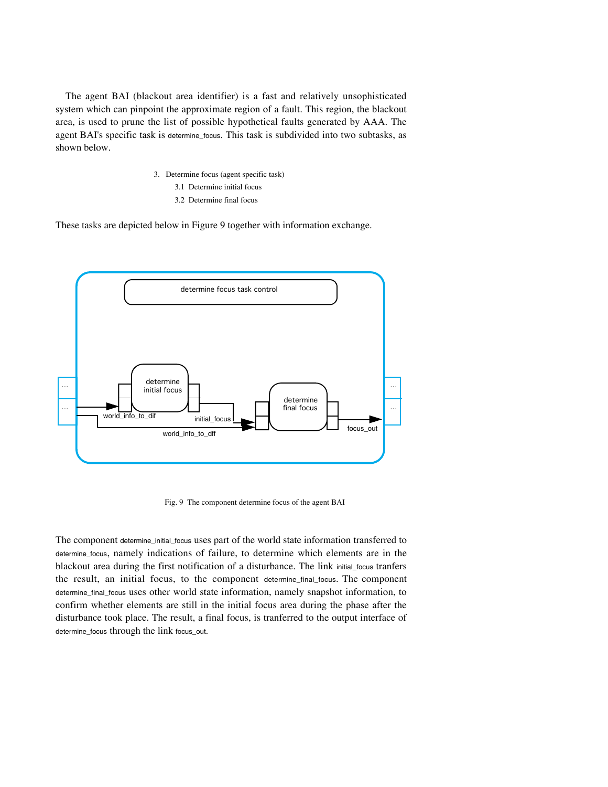The agent BAI (blackout area identifier) is a fast and relatively unsophisticated system which can pinpoint the approximate region of a fault. This region, the blackout area, is used to prune the list of possible hypothetical faults generated by AAA. The agent BAI's specific task is determine\_focus. This task is subdivided into two subtasks, as shown below.

- 3. Determine focus (agent specific task)
	- 3.1 Determine initial focus
	- 3.2 Determine final focus

These tasks are depicted below in Figure 9 together with information exchange.



Fig. 9 The component determine focus of the agent BAI

The component determine\_initial\_focus uses part of the world state information transferred to determine\_focus, namely indications of failure, to determine which elements are in the blackout area during the first notification of a disturbance. The link initial\_focus tranfers the result, an initial focus, to the component determine\_final\_focus. The component determine\_final\_focus uses other world state information, namely snapshot information, to confirm whether elements are still in the initial focus area during the phase after the disturbance took place. The result, a final focus, is tranferred to the output interface of determine\_focus through the link focus\_out.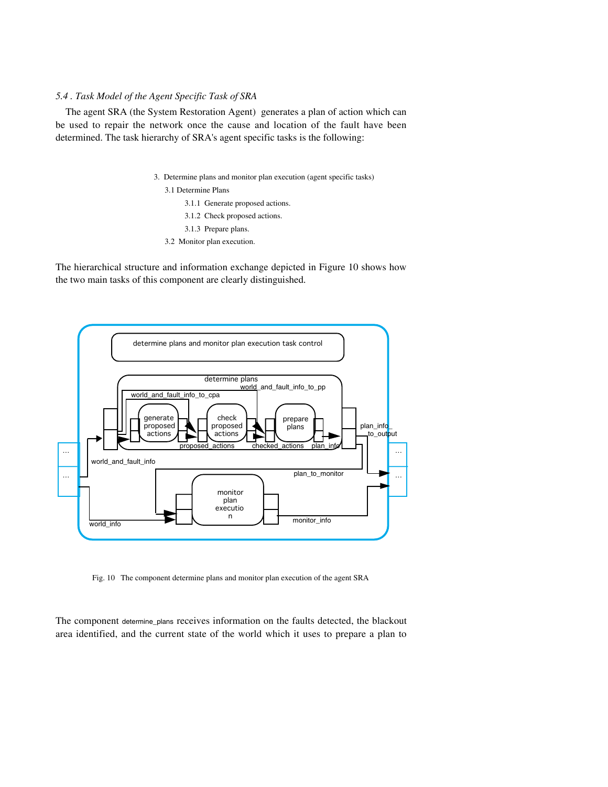# *5.4 . Task Model of the Agent Specific Task of SRA*

The agent SRA (the System Restoration Agent) generates a plan of action which can be used to repair the network once the cause and location of the fault have been determined. The task hierarchy of SRA's agent specific tasks is the following:

3. Determine plans and monitor plan execution (agent specific tasks)

3.1 Determine Plans

- 3.1.1 Generate proposed actions.
- 3.1.2 Check proposed actions.

3.1.3 Prepare plans.

3.2 Monitor plan execution.

The hierarchical structure and information exchange depicted in Figure 10 shows how the two main tasks of this component are clearly distinguished.



Fig. 10 The component determine plans and monitor plan execution of the agent SRA

The component determine\_plans receives information on the faults detected, the blackout area identified, and the current state of the world which it uses to prepare a plan to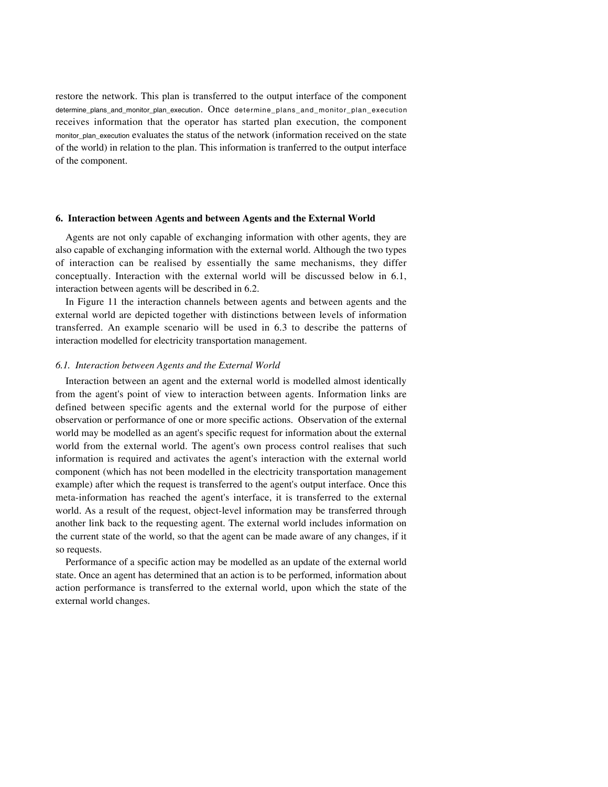restore the network. This plan is transferred to the output interface of the component determine\_plans\_and\_monitor\_plan\_execution. Once determine\_plans\_and\_monitor\_plan\_execution receives information that the operator has started plan execution, the component monitor\_plan\_execution evaluates the status of the network (information received on the state of the world) in relation to the plan. This information is tranferred to the output interface of the component.

### **6. Interaction between Agents and between Agents and the External World**

Agents are not only capable of exchanging information with other agents, they are also capable of exchanging information with the external world. Although the two types of interaction can be realised by essentially the same mechanisms, they differ conceptually. Interaction with the external world will be discussed below in 6.1, interaction between agents will be described in 6.2.

In Figure 11 the interaction channels between agents and between agents and the external world are depicted together with distinctions between levels of information transferred. An example scenario will be used in 6.3 to describe the patterns of interaction modelled for electricity transportation management.

## *6.1. Interaction between Agents and the External World*

Interaction between an agent and the external world is modelled almost identically from the agent's point of view to interaction between agents. Information links are defined between specific agents and the external world for the purpose of either observation or performance of one or more specific actions. Observation of the external world may be modelled as an agent's specific request for information about the external world from the external world. The agent's own process control realises that such information is required and activates the agent's interaction with the external world component (which has not been modelled in the electricity transportation management example) after which the request is transferred to the agent's output interface. Once this meta-information has reached the agent's interface, it is transferred to the external world. As a result of the request, object-level information may be transferred through another link back to the requesting agent. The external world includes information on the current state of the world, so that the agent can be made aware of any changes, if it so requests.

Performance of a specific action may be modelled as an update of the external world state. Once an agent has determined that an action is to be performed, information about action performance is transferred to the external world, upon which the state of the external world changes.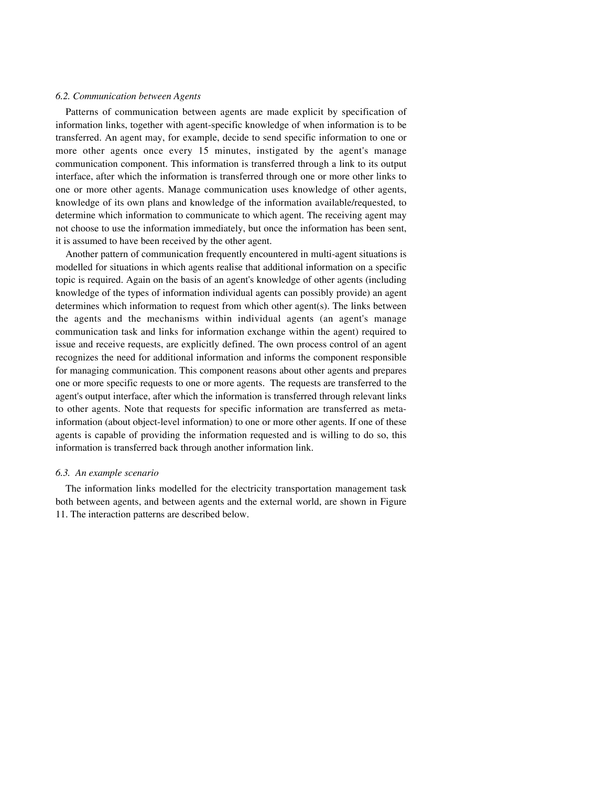#### *6.2. Communication between Agents*

Patterns of communication between agents are made explicit by specification of information links, together with agent-specific knowledge of when information is to be transferred. An agent may, for example, decide to send specific information to one or more other agents once every 15 minutes, instigated by the agent's manage communication component. This information is transferred through a link to its output interface, after which the information is transferred through one or more other links to one or more other agents. Manage communication uses knowledge of other agents, knowledge of its own plans and knowledge of the information available/requested, to determine which information to communicate to which agent. The receiving agent may not choose to use the information immediately, but once the information has been sent, it is assumed to have been received by the other agent.

Another pattern of communication frequently encountered in multi-agent situations is modelled for situations in which agents realise that additional information on a specific topic is required. Again on the basis of an agent's knowledge of other agents (including knowledge of the types of information individual agents can possibly provide) an agent determines which information to request from which other agent(s). The links between the agents and the mechanisms within individual agents (an agent's manage communication task and links for information exchange within the agent) required to issue and receive requests, are explicitly defined. The own process control of an agent recognizes the need for additional information and informs the component responsible for managing communication. This component reasons about other agents and prepares one or more specific requests to one or more agents. The requests are transferred to the agent's output interface, after which the information is transferred through relevant links to other agents. Note that requests for specific information are transferred as metainformation (about object-level information) to one or more other agents. If one of these agents is capable of providing the information requested and is willing to do so, this information is transferred back through another information link.

## *6.3. An example scenario*

The information links modelled for the electricity transportation management task both between agents, and between agents and the external world, are shown in Figure 11. The interaction patterns are described below.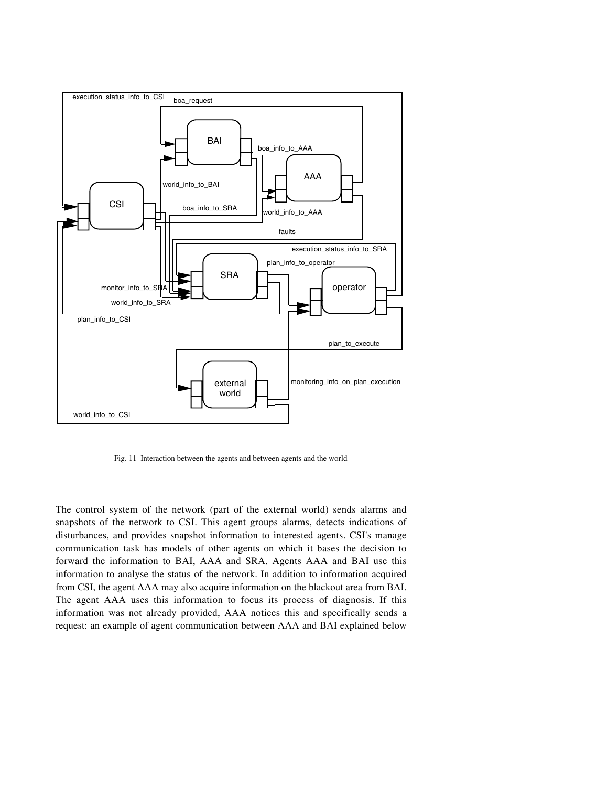

Fig. 11 Interaction between the agents and between agents and the world

The control system of the network (part of the external world) sends alarms and snapshots of the network to CSI. This agent groups alarms, detects indications of disturbances, and provides snapshot information to interested agents. CSI's manage communication task has models of other agents on which it bases the decision to forward the information to BAI, AAA and SRA. Agents AAA and BAI use this information to analyse the status of the network. In addition to information acquired from CSI, the agent AAA may also acquire information on the blackout area from BAI. The agent AAA uses this information to focus its process of diagnosis. If this information was not already provided, AAA notices this and specifically sends a request: an example of agent communication between AAA and BAI explained below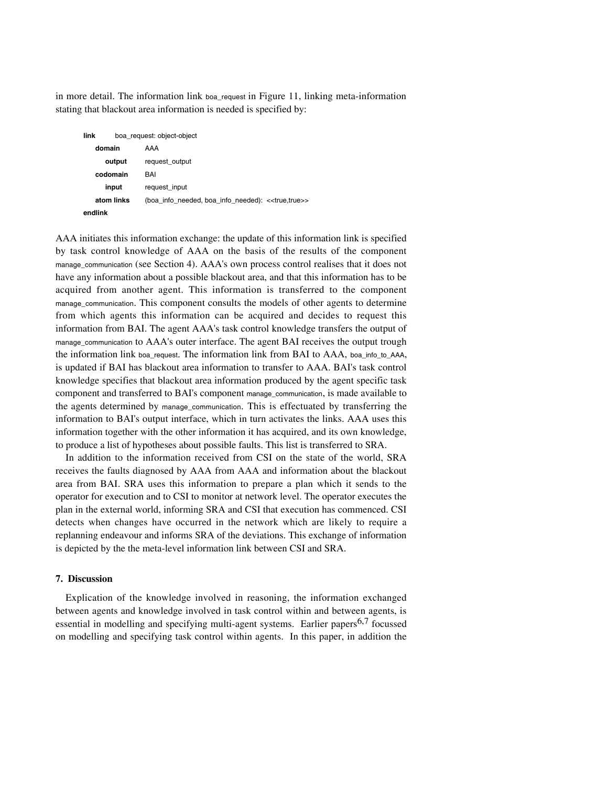in more detail. The information link boa\_request in Figure 11, linking meta-information stating that blackout area information is needed is specified by:

| link    | boa request: object-object |                                                                   |
|---------|----------------------------|-------------------------------------------------------------------|
| domain  |                            | AAA                                                               |
|         | output                     | request_output                                                    |
|         | codomain                   | BAI                                                               |
|         | input                      | request_input                                                     |
|         | atom links                 | (boa_info_needed, boa_info_needed): < <true,true>&gt;</true,true> |
| endlink |                            |                                                                   |

AAA initiates this information exchange: the update of this information link is specified by task control knowledge of AAA on the basis of the results of the component manage\_communication (see Section 4). AAA's own process control realises that it does not have any information about a possible blackout area, and that this information has to be acquired from another agent. This information is transferred to the component manage\_communication. This component consults the models of other agents to determine from which agents this information can be acquired and decides to request this information from BAI. The agent AAA's task control knowledge transfers the output of manage\_communication to AAA's outer interface. The agent BAI receives the output trough the information link boa\_request. The information link from BAI to AAA, boa\_info\_to\_AAA, is updated if BAI has blackout area information to transfer to AAA. BAI's task control knowledge specifies that blackout area information produced by the agent specific task component and transferred to BAI's component manage\_communication, is made available to the agents determined by manage communication. This is effectuated by transferring the information to BAI's output interface, which in turn activates the links. AAA uses this information together with the other information it has acquired, and its own knowledge, to produce a list of hypotheses about possible faults. This list is transferred to SRA.

In addition to the information received from CSI on the state of the world, SRA receives the faults diagnosed by AAA from AAA and information about the blackout area from BAI. SRA uses this information to prepare a plan which it sends to the operator for execution and to CSI to monitor at network level. The operator executes the plan in the external world, informing SRA and CSI that execution has commenced. CSI detects when changes have occurred in the network which are likely to require a replanning endeavour and informs SRA of the deviations. This exchange of information is depicted by the the meta-level information link between CSI and SRA.

# **7. Discussion**

Explication of the knowledge involved in reasoning, the information exchanged between agents and knowledge involved in task control within and between agents, is essential in modelling and specifying multi-agent systems. Earlier papers $6,7$  focussed on modelling and specifying task control within agents. In this paper, in addition the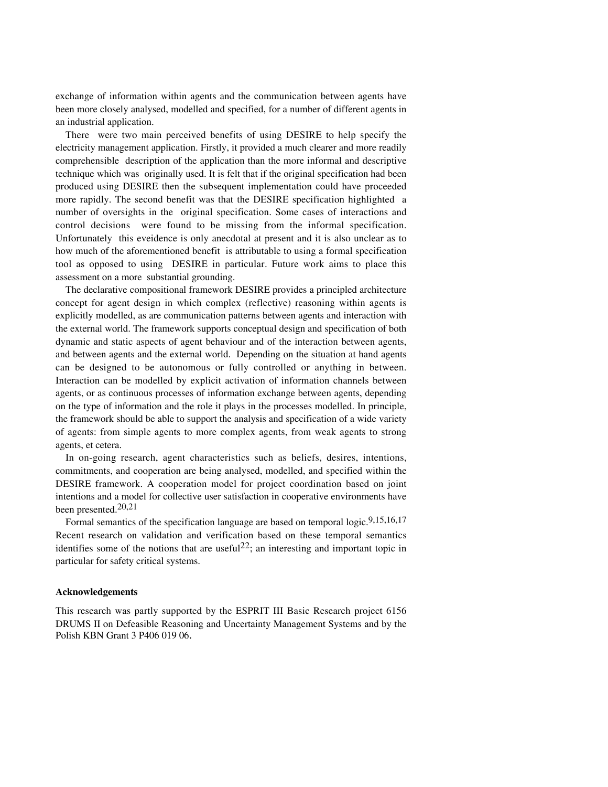exchange of information within agents and the communication between agents have been more closely analysed, modelled and specified, for a number of different agents in an industrial application.

There were two main perceived benefits of using DESIRE to help specify the electricity management application. Firstly, it provided a much clearer and more readily comprehensible description of the application than the more informal and descriptive technique which was originally used. It is felt that if the original specification had been produced using DESIRE then the subsequent implementation could have proceeded more rapidly. The second benefit was that the DESIRE specification highlighted a number of oversights in the original specification. Some cases of interactions and control decisions were found to be missing from the informal specification. Unfortunately this eveidence is only anecdotal at present and it is also unclear as to how much of the aforementioned benefit is attributable to using a formal specification tool as opposed to using DESIRE in particular. Future work aims to place this assessment on a more substantial grounding.

The declarative compositional framework DESIRE provides a principled architecture concept for agent design in which complex (reflective) reasoning within agents is explicitly modelled, as are communication patterns between agents and interaction with the external world. The framework supports conceptual design and specification of both dynamic and static aspects of agent behaviour and of the interaction between agents, and between agents and the external world. Depending on the situation at hand agents can be designed to be autonomous or fully controlled or anything in between. Interaction can be modelled by explicit activation of information channels between agents, or as continuous processes of information exchange between agents, depending on the type of information and the role it plays in the processes modelled. In principle, the framework should be able to support the analysis and specification of a wide variety of agents: from simple agents to more complex agents, from weak agents to strong agents, et cetera.

In on-going research, agent characteristics such as beliefs, desires, intentions, commitments, and cooperation are being analysed, modelled, and specified within the DESIRE framework. A cooperation model for project coordination based on joint intentions and a model for collective user satisfaction in cooperative environments have been presented.20,21

Formal semantics of the specification language are based on temporal logic.<sup>9,15,16,17</sup> Recent research on validation and verification based on these temporal semantics identifies some of the notions that are useful<sup>22</sup>; an interesting and important topic in particular for safety critical systems.

#### **Acknowledgements**

This research was partly supported by the ESPRIT III Basic Research project 6156 DRUMS II on Defeasible Reasoning and Uncertainty Management Systems and by the Polish KBN Grant 3 P406 019 06.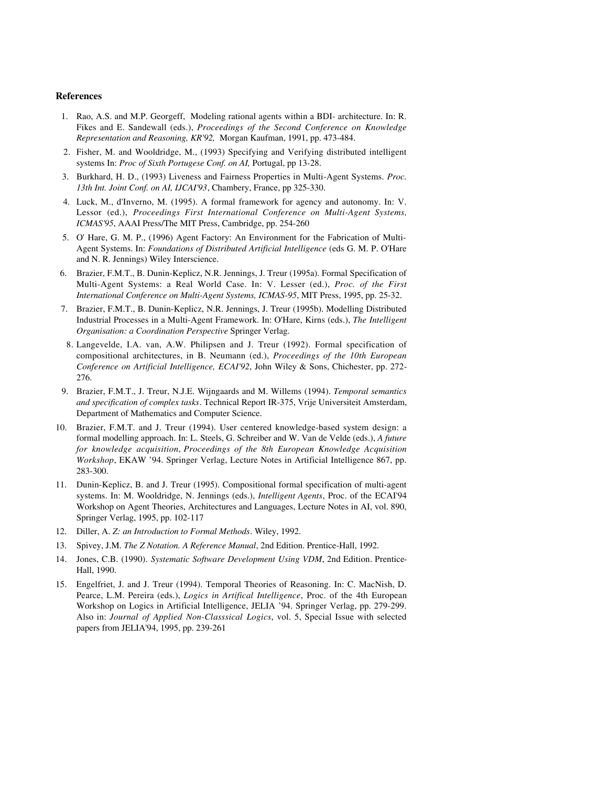### **References**

- 1. Rao, A.S. and M.P. Georgeff, Modeling rational agents within a BDI- architecture. In: R. Fikes and E. Sandewall (eds.), *Proceedings of the Second Conference on Knowledge Representation and Reasoning, KR'92,* Morgan Kaufman, 1991, pp. 473-484.
- 2. Fisher, M. and Wooldridge, M., (1993) Specifying and Verifying distributed intelligent systems In: *Proc of Sixth Portugese Conf. on AI,* Portugal, pp 13-28.
- 3. Burkhard, H. D., (1993) Liveness and Fairness Properties in Multi-Agent Systems. *Proc. 13th Int. Joint Conf. on AI, IJCAI'93*, Chambery, France, pp 325-330.
- 4. Luck, M., d'Inverno, M. (1995). A formal framework for agency and autonomy. In: V. Lessor (ed.), *Proceedings First International Conference on Multi-Agent Systems, ICMAS'95*, AAAI Press/The MIT Press, Cambridge, pp. 254-260
- 5. O' Hare, G. M. P., (1996) Agent Factory: An Environment for the Fabrication of Multi-Agent Systems. In: *Foundations of Distributed Artificial Intelligence* (eds G. M. P. O'Hare and N. R. Jennings) Wiley Interscience.
- 6. Brazier, F.M.T., B. Dunin-Keplicz, N.R. Jennings, J. Treur (1995a). Formal Specification of Multi-Agent Systems: a Real World Case. In: V. Lesser (ed.), *Proc. of the First International Conference on Multi-Agent Systems, ICMAS-95*, MIT Press, 1995, pp. 25-32.
- 7. Brazier, F.M.T., B. Dunin-Keplicz, N.R. Jennings, J. Treur (1995b). Modelling Distributed Industrial Processes in a Multi-Agent Framework. In: O'Hare, Kirns (eds.), *The Intelligent Organisation: a Coordination Perspective* Springer Verlag.
- 8. Langevelde, I.A. van, A.W. Philipsen and J. Treur (1992). Formal specification of compositional architectures, in B. Neumann (ed.), *Proceedings of the 10th European Conference on Artificial Intelligence, ECAI'92*, John Wiley & Sons, Chichester, pp. 272- 276.
- 9. Brazier, F.M.T., J. Treur, N.J.E. Wijngaards and M. Willems (1994). *Temporal semantics and specification of complex tasks*. Technical Report IR-375, Vrije Universiteit Amsterdam, Department of Mathematics and Computer Science.
- 10. Brazier, F.M.T. and J. Treur (1994). User centered knowledge-based system design: a formal modelling approach. In: L. Steels, G. Schreiber and W. Van de Velde (eds.), *A future for knowledge acquisition*, *Proceedings of the 8th European Knowledge Acquisition Workshop*, EKAW '94. Springer Verlag, Lecture Notes in Artificial Intelligence 867, pp. 283-300.
- 11. Dunin-Keplicz, B. and J. Treur (1995). Compositional formal specification of multi-agent systems. In: M. Wooldridge, N. Jennings (eds.), *Intelligent Agents*, Proc. of the ECAI'94 Workshop on Agent Theories, Architectures and Languages, Lecture Notes in AI, vol. 890, Springer Verlag, 1995, pp. 102-117
- 12. Diller, A. *Z: an Introduction to Formal Methods*. Wiley, 1992.
- 13. Spivey, J.M. *The Z Notation. A Reference Manual*, 2nd Edition. Prentice-Hall, 1992.
- 14. Jones, C.B. (1990). *Systematic Software Development Using VDM*, 2nd Edition. Prentice-Hall, 1990.
- 15. Engelfriet, J. and J. Treur (1994). Temporal Theories of Reasoning. In: C. MacNish, D. Pearce, L.M. Pereira (eds.), *Logics in Artifical Intelligence*, Proc. of the 4th European Workshop on Logics in Artificial Intelligence, JELIA '94. Springer Verlag, pp. 279-299. Also in: *Journal of Applied Non-Classsical Logics*, vol. 5, Special Issue with selected papers from JELIA'94, 1995, pp. 239-261